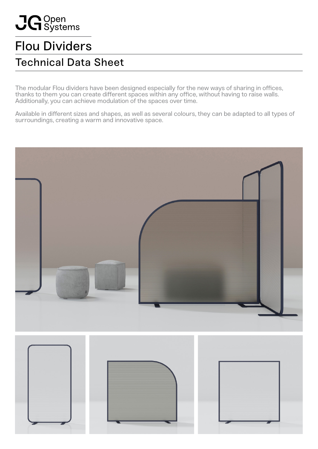# JG Open<br>UG Systems

## Flou Dividers

## Technical Data Sheet

The modular Flou dividers have been designed especially for the new ways of sharing in offices, thanks to them you can create different spaces within any office, without having to raise walls. Additionally, you can achieve modulation of the spaces over time.

Available in different sizes and shapes, as well as several colours, they can be adapted to all types of surroundings, creating a warm and innovative space.

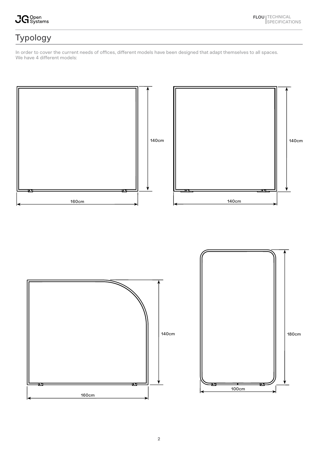JG <sup>Open</sup><br>UG Systems

## Typology

In order to cover the current needs of offices, different models have been designed that adapt themselves to all spaces. We have 4 different models:



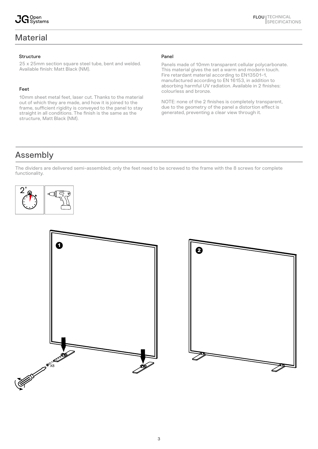### **Material**

25 x 25mm section square steel tube, bent and welded. Available finish: Matt Black (NM).

#### Feet

10mm sheet metal feet, laser cut. Thanks to the material out of which they are made, and how it is joined to the frame, sufficient rigidity is conveyed to the panel to stay straight in all conditions. The finish is the same as the structure, Matt Black (NM).

#### Panel

Panels made of 10mm transparent cellular polycarbonate. This material gives the set a warm and modern touch. Fire retardant material according to EN13501-1, manufactured according to EN 16153, in addition to absorbing harmful UV radiation. Available in 2 finishes: colourless and bronze.

NOTE: none of the 2 finishes is completely transparent, due to the geometry of the panel a distortion effect is generated, preventing a clear view through it.

## Assembly

The dividers are delivered semi-assembled; only the feet need to be screwed to the frame with the 8 screws for complete functionality.







**FLOU** | TECHNICAL

SPECIFICATIONS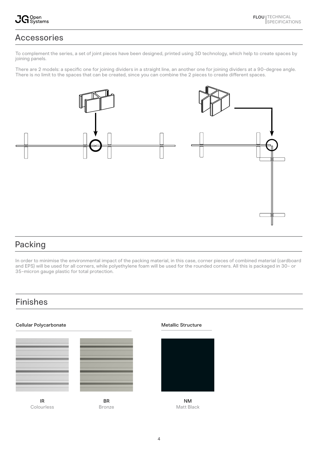## Accessories

To complement the series, a set of joint pieces have been designed, printed using 3D technology, which help to create spaces by joining panels.

There are 2 models: a specific one for joining dividers in a straight line, an another one for joining dividers at a 90-degree angle. There is no limit to the spaces that can be created, since you can combine the 2 pieces to create different spaces.



## Packing

In order to minimise the environmental impact of the packing material, in this case, corner pieces of combined material (cardboard and EPS) will be used for all corners, while polyethylene foam will be used for the rounded corners. All this is packaged in 30- or 35-micron gauge plastic for total protection.

## Finishes





BR Bronze

IR Colourless

Cellular Polycarbonate and a structure Metallic Structure



NM Matt Black